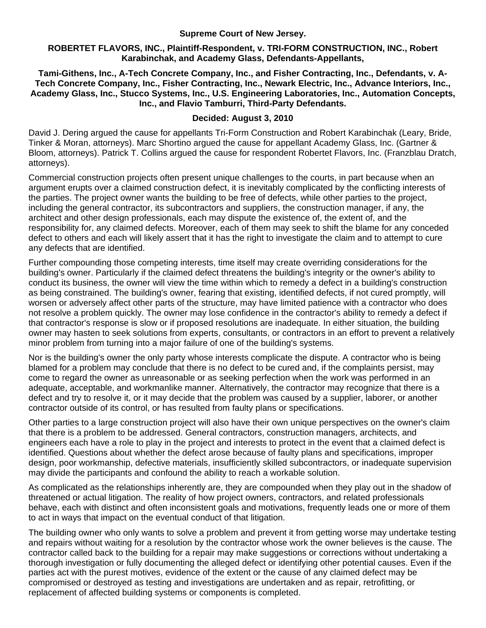**Supreme Court of New Jersey.** 

#### **ROBERTET FLAVORS, INC., Plaintiff-Respondent, v. TRI-FORM CONSTRUCTION, INC., Robert Karabinchak, and Academy Glass, Defendants-Appellants,**

**Tami-Githens, Inc., A-Tech Concrete Company, Inc., and Fisher Contracting, Inc., Defendants, v. A-Tech Concrete Company, Inc., Fisher Contracting, Inc., Newark Electric, Inc., Advance Interiors, Inc., Academy Glass, Inc., Stucco Systems, Inc., U.S. Engineering Laboratories, Inc., Automation Concepts, Inc., and Flavio Tamburri, Third-Party Defendants.** 

# **Decided: August 3, 2010**

David J. Dering argued the cause for appellants Tri-Form Construction and Robert Karabinchak (Leary, Bride, Tinker & Moran, attorneys). Marc Shortino argued the cause for appellant Academy Glass, Inc. (Gartner & Bloom, attorneys). Patrick T. Collins argued the cause for respondent Robertet Flavors, Inc. (Franzblau Dratch, attorneys).

Commercial construction projects often present unique challenges to the courts, in part because when an argument erupts over a claimed construction defect, it is inevitably complicated by the conflicting interests of the parties. The project owner wants the building to be free of defects, while other parties to the project, including the general contractor, its subcontractors and suppliers, the construction manager, if any, the architect and other design professionals, each may dispute the existence of, the extent of, and the responsibility for, any claimed defects. Moreover, each of them may seek to shift the blame for any conceded defect to others and each will likely assert that it has the right to investigate the claim and to attempt to cure any defects that are identified.

Further compounding those competing interests, time itself may create overriding considerations for the building's owner. Particularly if the claimed defect threatens the building's integrity or the owner's ability to conduct its business, the owner will view the time within which to remedy a defect in a building's construction as being constrained. The building's owner, fearing that existing, identified defects, if not cured promptly, will worsen or adversely affect other parts of the structure, may have limited patience with a contractor who does not resolve a problem quickly. The owner may lose confidence in the contractor's ability to remedy a defect if that contractor's response is slow or if proposed resolutions are inadequate. In either situation, the building owner may hasten to seek solutions from experts, consultants, or contractors in an effort to prevent a relatively minor problem from turning into a major failure of one of the building's systems.

Nor is the building's owner the only party whose interests complicate the dispute. A contractor who is being blamed for a problem may conclude that there is no defect to be cured and, if the complaints persist, may come to regard the owner as unreasonable or as seeking perfection when the work was performed in an adequate, acceptable, and workmanlike manner. Alternatively, the contractor may recognize that there is a defect and try to resolve it, or it may decide that the problem was caused by a supplier, laborer, or another contractor outside of its control, or has resulted from faulty plans or specifications.

Other parties to a large construction project will also have their own unique perspectives on the owner's claim that there is a problem to be addressed. General contractors, construction managers, architects, and engineers each have a role to play in the project and interests to protect in the event that a claimed defect is identified. Questions about whether the defect arose because of faulty plans and specifications, improper design, poor workmanship, defective materials, insufficiently skilled subcontractors, or inadequate supervision may divide the participants and confound the ability to reach a workable solution.

As complicated as the relationships inherently are, they are compounded when they play out in the shadow of threatened or actual litigation. The reality of how project owners, contractors, and related professionals behave, each with distinct and often inconsistent goals and motivations, frequently leads one or more of them to act in ways that impact on the eventual conduct of that litigation.

The building owner who only wants to solve a problem and prevent it from getting worse may undertake testing and repairs without waiting for a resolution by the contractor whose work the owner believes is the cause. The contractor called back to the building for a repair may make suggestions or corrections without undertaking a thorough investigation or fully documenting the alleged defect or identifying other potential causes. Even if the parties act with the purest motives, evidence of the extent or the cause of any claimed defect may be compromised or destroyed as testing and investigations are undertaken and as repair, retrofitting, or replacement of affected building systems or components is completed.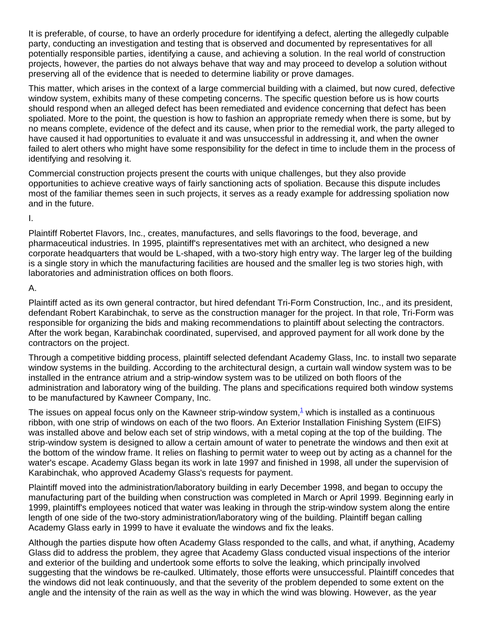It is preferable, of course, to have an orderly procedure for identifying a defect, alerting the allegedly culpable party, conducting an investigation and testing that is observed and documented by representatives for all potentially responsible parties, identifying a cause, and achieving a solution. In the real world of construction projects, however, the parties do not always behave that way and may proceed to develop a solution without preserving all of the evidence that is needed to determine liability or prove damages.

This matter, which arises in the context of a large commercial building with a claimed, but now cured, defective window system, exhibits many of these competing concerns. The specific question before us is how courts should respond when an alleged defect has been remediated and evidence concerning that defect has been spoliated. More to the point, the question is how to fashion an appropriate remedy when there is some, but by no means complete, evidence of the defect and its cause, when prior to the remedial work, the party alleged to have caused it had opportunities to evaluate it and was unsuccessful in addressing it, and when the owner failed to alert others who might have some responsibility for the defect in time to include them in the process of identifying and resolving it.

Commercial construction projects present the courts with unique challenges, but they also provide opportunities to achieve creative ways of fairly sanctioning acts of spoliation. Because this dispute includes most of the familiar themes seen in such projects, it serves as a ready example for addressing spoliation now and in the future.

I.

Plaintiff Robertet Flavors, Inc., creates, manufactures, and sells flavorings to the food, beverage, and pharmaceutical industries. In 1995, plaintiff's representatives met with an architect, who designed a new corporate headquarters that would be L-shaped, with a two-story high entry way. The larger leg of the building is a single story in which the manufacturing facilities are housed and the smaller leg is two stories high, with laboratories and administration offices on both floors.

A.

Plaintiff acted as its own general contractor, but hired defendant Tri-Form Construction, Inc., and its president, defendant Robert Karabinchak, to serve as the construction manager for the project. In that role, Tri-Form was responsible for organizing the bids and making recommendations to plaintiff about selecting the contractors. After the work began, Karabinchak coordinated, supervised, and approved payment for all work done by the contractors on the project.

Through a competitive bidding process, plaintiff selected defendant Academy Glass, Inc. to install two separate window systems in the building. According to the architectural design, a curtain wall window system was to be installed in the entrance atrium and a strip-window system was to be utilized on both floors of the administration and laboratory wing of the building. The plans and specifications required both window systems to be manufactured by Kawneer Company, Inc.

The issues on appeal focus only on the Kawneer strip-window system, $^1$  which is installed as a continuous ribbon, with one strip of windows on each of the two floors. An Exterior Installation Finishing System (EIFS) was installed above and below each set of strip windows, with a metal coping at the top of the building. The strip-window system is designed to allow a certain amount of water to penetrate the windows and then exit at the bottom of the window frame. It relies on flashing to permit water to weep out by acting as a channel for the water's escape. Academy Glass began its work in late 1997 and finished in 1998, all under the supervision of Karabinchak, who approved Academy Glass's requests for payment.

Plaintiff moved into the administration/laboratory building in early December 1998, and began to occupy the manufacturing part of the building when construction was completed in March or April 1999. Beginning early in 1999, plaintiff's employees noticed that water was leaking in through the strip-window system along the entire length of one side of the two-story administration/laboratory wing of the building. Plaintiff began calling Academy Glass early in 1999 to have it evaluate the windows and fix the leaks.

Although the parties dispute how often Academy Glass responded to the calls, and what, if anything, Academy Glass did to address the problem, they agree that Academy Glass conducted visual inspections of the interior and exterior of the building and undertook some efforts to solve the leaking, which principally involved suggesting that the windows be re-caulked. Ultimately, those efforts were unsuccessful. Plaintiff concedes that the windows did not leak continuously, and that the severity of the problem depended to some extent on the angle and the intensity of the rain as well as the way in which the wind was blowing. However, as the year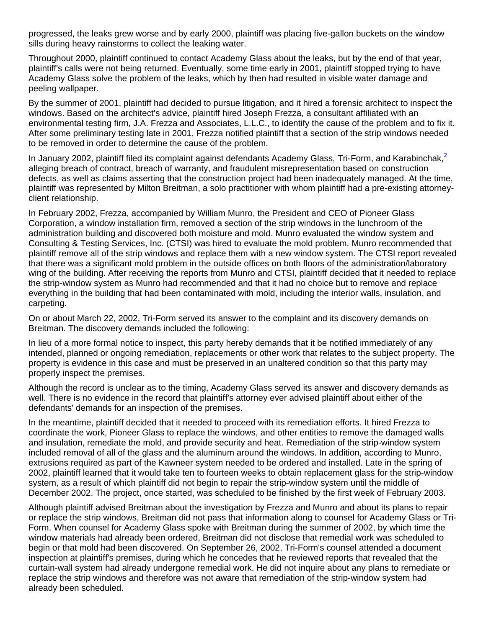progressed, the leaks grew worse and by early 2000, plaintiff was placing five-gallon buckets on the window sills during heavy rainstorms to collect the leaking water.

Throughout 2000, plaintiff continued to contact Academy Glass about the leaks, but by the end of that year, plaintiff's calls were not being returned. Eventually, some time early in 2001, plaintiff stopped trying to have Academy Glass solve the problem of the leaks, which by then had resulted in visible water damage and peeling wallpaper.

By the summer of 2001, plaintiff had decided to pursue litigation, and it hired a forensic architect to inspect the windows. Based on the architect's advice, plaintiff hired Joseph Frezza, a consultant affiliated with an environmental testing firm, J.A. Frezza and Associates, L.L.C., to identify the cause of the problem and to fix it. After some preliminary testing late in 2001, Frezza notified plaintiff that a section of the strip windows needed to be removed in order to determine the cause of the problem.

In January 2002, plaintiff filed its complaint against defendants Academy Glass, Tri-Form, and Karabinchak, $2$ alleging breach of contract, breach of warranty, and fraudulent misrepresentation based on construction defects, as well as claims asserting that the construction project had been inadequately managed. At the time, plaintiff was represented by Milton Breitman, a solo practitioner with whom plaintiff had a pre-existing attorneyclient relationship.

In February 2002, Frezza, accompanied by William Munro, the President and CEO of Pioneer Glass Corporation, a window installation firm, removed a section of the strip windows in the lunchroom of the administration building and discovered both moisture and mold. Munro evaluated the window system and Consulting & Testing Services, Inc. (CTSI) was hired to evaluate the mold problem. Munro recommended that plaintiff remove all of the strip windows and replace them with a new window system. The CTSI report revealed that there was a significant mold problem in the outside offices on both floors of the administration/laboratory wing of the building. After receiving the reports from Munro and CTSI, plaintiff decided that it needed to replace the strip-window system as Munro had recommended and that it had no choice but to remove and replace everything in the building that had been contaminated with mold, including the interior walls, insulation, and carpeting.

On or about March 22, 2002, Tri-Form served its answer to the complaint and its discovery demands on Breitman. The discovery demands included the following:

In lieu of a more formal notice to inspect, this party hereby demands that it be notified immediately of any intended, planned or ongoing remediation, replacements or other work that relates to the subject property. The property is evidence in this case and must be preserved in an unaltered condition so that this party may properly inspect the premises.

Although the record is unclear as to the timing, Academy Glass served its answer and discovery demands as well. There is no evidence in the record that plaintiff's attorney ever advised plaintiff about either of the defendants' demands for an inspection of the premises.

In the meantime, plaintiff decided that it needed to proceed with its remediation efforts. It hired Frezza to coordinate the work, Pioneer Glass to replace the windows, and other entities to remove the damaged walls and insulation, remediate the mold, and provide security and heat. Remediation of the strip-window system included removal of all of the glass and the aluminum around the windows. In addition, according to Munro, extrusions required as part of the Kawneer system needed to be ordered and installed. Late in the spring of 2002, plaintiff learned that it would take ten to fourteen weeks to obtain replacement glass for the strip-window system, as a result of which plaintiff did not begin to repair the strip-window system until the middle of December 2002. The project, once started, was scheduled to be finished by the first week of February 2003.

Although plaintiff advised Breitman about the investigation by Frezza and Munro and about its plans to repair or replace the strip windows, Breitman did not pass that information along to counsel for Academy Glass or Tri-Form. When counsel for Academy Glass spoke with Breitman during the summer of 2002, by which time the window materials had already been ordered, Breitman did not disclose that remedial work was scheduled to begin or that mold had been discovered. On September 26, 2002, Tri-Form's counsel attended a document inspection at plaintiff's premises, during which he concedes that he reviewed reports that revealed that the curtain-wall system had already undergone remedial work. He did not inquire about any plans to remediate or replace the strip windows and therefore was not aware that remediation of the strip-window system had already been scheduled.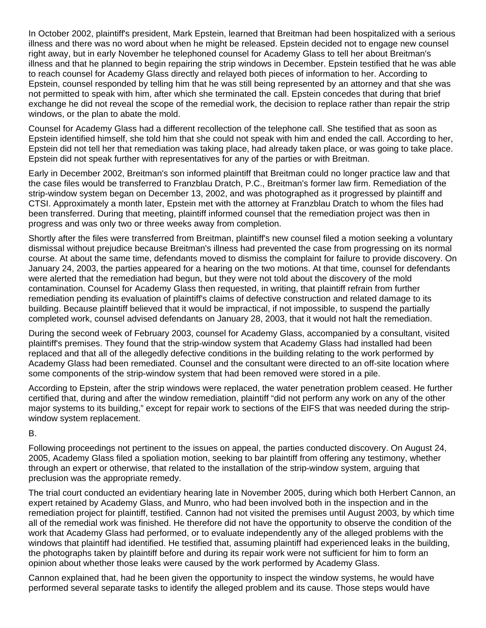In October 2002, plaintiff's president, Mark Epstein, learned that Breitman had been hospitalized with a serious illness and there was no word about when he might be released. Epstein decided not to engage new counsel right away, but in early November he telephoned counsel for Academy Glass to tell her about Breitman's illness and that he planned to begin repairing the strip windows in December. Epstein testified that he was able to reach counsel for Academy Glass directly and relayed both pieces of information to her. According to Epstein, counsel responded by telling him that he was still being represented by an attorney and that she was not permitted to speak with him, after which she terminated the call. Epstein concedes that during that brief exchange he did not reveal the scope of the remedial work, the decision to replace rather than repair the strip windows, or the plan to abate the mold.

Counsel for Academy Glass had a different recollection of the telephone call. She testified that as soon as Epstein identified himself, she told him that she could not speak with him and ended the call. According to her, Epstein did not tell her that remediation was taking place, had already taken place, or was going to take place. Epstein did not speak further with representatives for any of the parties or with Breitman.

Early in December 2002, Breitman's son informed plaintiff that Breitman could no longer practice law and that the case files would be transferred to Franzblau Dratch, P.C., Breitman's former law firm. Remediation of the strip-window system began on December 13, 2002, and was photographed as it progressed by plaintiff and CTSI. Approximately a month later, Epstein met with the attorney at Franzblau Dratch to whom the files had been transferred. During that meeting, plaintiff informed counsel that the remediation project was then in progress and was only two or three weeks away from completion.

Shortly after the files were transferred from Breitman, plaintiff's new counsel filed a motion seeking a voluntary dismissal without prejudice because Breitman's illness had prevented the case from progressing on its normal course. At about the same time, defendants moved to dismiss the complaint for failure to provide discovery. On January 24, 2003, the parties appeared for a hearing on the two motions. At that time, counsel for defendants were alerted that the remediation had begun, but they were not told about the discovery of the mold contamination. Counsel for Academy Glass then requested, in writing, that plaintiff refrain from further remediation pending its evaluation of plaintiff's claims of defective construction and related damage to its building. Because plaintiff believed that it would be impractical, if not impossible, to suspend the partially completed work, counsel advised defendants on January 28, 2003, that it would not halt the remediation.

During the second week of February 2003, counsel for Academy Glass, accompanied by a consultant, visited plaintiff's premises. They found that the strip-window system that Academy Glass had installed had been replaced and that all of the allegedly defective conditions in the building relating to the work performed by Academy Glass had been remediated. Counsel and the consultant were directed to an off-site location where some components of the strip-window system that had been removed were stored in a pile.

According to Epstein, after the strip windows were replaced, the water penetration problem ceased. He further certified that, during and after the window remediation, plaintiff "did not perform any work on any of the other major systems to its building," except for repair work to sections of the EIFS that was needed during the stripwindow system replacement.

B.

Following proceedings not pertinent to the issues on appeal, the parties conducted discovery. On August 24, 2005, Academy Glass filed a spoliation motion, seeking to bar plaintiff from offering any testimony, whether through an expert or otherwise, that related to the installation of the strip-window system, arguing that preclusion was the appropriate remedy.

The trial court conducted an evidentiary hearing late in November 2005, during which both Herbert Cannon, an expert retained by Academy Glass, and Munro, who had been involved both in the inspection and in the remediation project for plaintiff, testified. Cannon had not visited the premises until August 2003, by which time all of the remedial work was finished. He therefore did not have the opportunity to observe the condition of the work that Academy Glass had performed, or to evaluate independently any of the alleged problems with the windows that plaintiff had identified. He testified that, assuming plaintiff had experienced leaks in the building, the photographs taken by plaintiff before and during its repair work were not sufficient for him to form an opinion about whether those leaks were caused by the work performed by Academy Glass.

Cannon explained that, had he been given the opportunity to inspect the window systems, he would have performed several separate tasks to identify the alleged problem and its cause. Those steps would have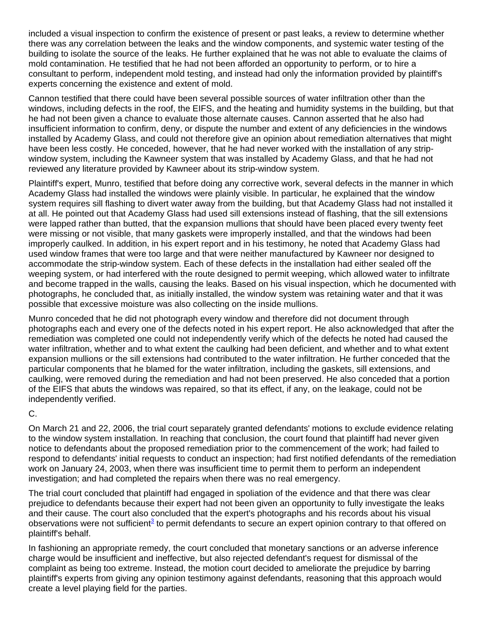included a visual inspection to confirm the existence of present or past leaks, a review to determine whether there was any correlation between the leaks and the window components, and systemic water testing of the building to isolate the source of the leaks. He further explained that he was not able to evaluate the claims of mold contamination. He testified that he had not been afforded an opportunity to perform, or to hire a consultant to perform, independent mold testing, and instead had only the information provided by plaintiff's experts concerning the existence and extent of mold.

Cannon testified that there could have been several possible sources of water infiltration other than the windows, including defects in the roof, the EIFS, and the heating and humidity systems in the building, but that he had not been given a chance to evaluate those alternate causes. Cannon asserted that he also had insufficient information to confirm, deny, or dispute the number and extent of any deficiencies in the windows installed by Academy Glass, and could not therefore give an opinion about remediation alternatives that might have been less costly. He conceded, however, that he had never worked with the installation of any stripwindow system, including the Kawneer system that was installed by Academy Glass, and that he had not reviewed any literature provided by Kawneer about its strip-window system.

Plaintiff's expert, Munro, testified that before doing any corrective work, several defects in the manner in which Academy Glass had installed the windows were plainly visible. In particular, he explained that the window system requires sill flashing to divert water away from the building, but that Academy Glass had not installed it at all. He pointed out that Academy Glass had used sill extensions instead of flashing, that the sill extensions were lapped rather than butted, that the expansion mullions that should have been placed every twenty feet were missing or not visible, that many gaskets were improperly installed, and that the windows had been improperly caulked. In addition, in his expert report and in his testimony, he noted that Academy Glass had used window frames that were too large and that were neither manufactured by Kawneer nor designed to accommodate the strip-window system. Each of these defects in the installation had either sealed off the weeping system, or had interfered with the route designed to permit weeping, which allowed water to infiltrate and become trapped in the walls, causing the leaks. Based on his visual inspection, which he documented with photographs, he concluded that, as initially installed, the window system was retaining water and that it was possible that excessive moisture was also collecting on the inside mullions.

Munro conceded that he did not photograph every window and therefore did not document through photographs each and every one of the defects noted in his expert report. He also acknowledged that after the remediation was completed one could not independently verify which of the defects he noted had caused the water infiltration, whether and to what extent the caulking had been deficient, and whether and to what extent expansion mullions or the sill extensions had contributed to the water infiltration. He further conceded that the particular components that he blamed for the water infiltration, including the gaskets, sill extensions, and caulking, were removed during the remediation and had not been preserved. He also conceded that a portion of the EIFS that abuts the windows was repaired, so that its effect, if any, on the leakage, could not be independently verified.

## C.

On March 21 and 22, 2006, the trial court separately granted defendants' motions to exclude evidence relating to the window system installation. In reaching that conclusion, the court found that plaintiff had never given notice to defendants about the proposed remediation prior to the commencement of the work; had failed to respond to defendants' initial requests to conduct an inspection; had first notified defendants of the remediation work on January 24, 2003, when there was insufficient time to permit them to perform an independent investigation; and had completed the repairs when there was no real emergency.

The trial court concluded that plaintiff had engaged in spoliation of the evidence and that there was clear prejudice to defendants because their expert had not been given an opportunity to fully investigate the leaks and their cause. The court also concluded that the expert's photographs and his records about his visual observations were not sufficient<sup>3</sup> to permit defendants to secure an expert opinion contrary to that offered on plaintiff's behalf.

In fashioning an appropriate remedy, the court concluded that monetary sanctions or an adverse inference charge would be insufficient and ineffective, but also rejected defendant's request for dismissal of the complaint as being too extreme. Instead, the motion court decided to ameliorate the prejudice by barring plaintiff's experts from giving any opinion testimony against defendants, reasoning that this approach would create a level playing field for the parties.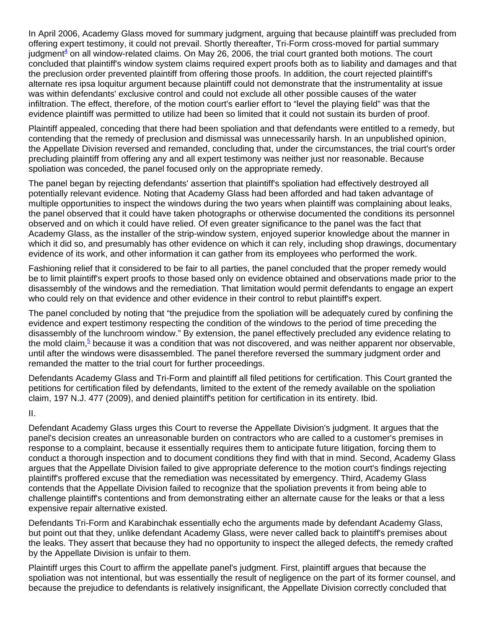In April 2006, Academy Glass moved for summary judgment, arguing that because plaintiff was precluded from offering expert testimony, it could not prevail. Shortly thereafter, Tri-Form cross-moved for partial summary judgment<sup>4</sup> on all window-related claims. On May 26, 2006, the trial court granted both motions. The court concluded that plaintiff's window system claims required expert proofs both as to liability and damages and that the preclusion order prevented plaintiff from offering those proofs. In addition, the court rejected plaintiff's alternate res ipsa loquitur argument because plaintiff could not demonstrate that the instrumentality at issue was within defendants' exclusive control and could not exclude all other possible causes of the water infiltration. The effect, therefore, of the motion court's earlier effort to "level the playing field" was that the evidence plaintiff was permitted to utilize had been so limited that it could not sustain its burden of proof.

Plaintiff appealed, conceding that there had been spoliation and that defendants were entitled to a remedy, but contending that the remedy of preclusion and dismissal was unnecessarily harsh. In an unpublished opinion, the Appellate Division reversed and remanded, concluding that, under the circumstances, the trial court's order precluding plaintiff from offering any and all expert testimony was neither just nor reasonable. Because spoliation was conceded, the panel focused only on the appropriate remedy.

The panel began by rejecting defendants' assertion that plaintiff's spoliation had effectively destroyed all potentially relevant evidence. Noting that Academy Glass had been afforded and had taken advantage of multiple opportunities to inspect the windows during the two years when plaintiff was complaining about leaks, the panel observed that it could have taken photographs or otherwise documented the conditions its personnel observed and on which it could have relied. Of even greater significance to the panel was the fact that Academy Glass, as the installer of the strip-window system, enjoyed superior knowledge about the manner in which it did so, and presumably has other evidence on which it can rely, including shop drawings, documentary evidence of its work, and other information it can gather from its employees who performed the work.

Fashioning relief that it considered to be fair to all parties, the panel concluded that the proper remedy would be to limit plaintiff's expert proofs to those based only on evidence obtained and observations made prior to the disassembly of the windows and the remediation. That limitation would permit defendants to engage an expert who could rely on that evidence and other evidence in their control to rebut plaintiff's expert.

The panel concluded by noting that "the prejudice from the spoliation will be adequately cured by confining the evidence and expert testimony respecting the condition of the windows to the period of time preceding the disassembly of the lunchroom window." By extension, the panel effectively precluded any evidence relating to the mold claim,<sup>5</sup> because it was a condition that was not discovered, and was neither apparent nor observable, until after the windows were disassembled. The panel therefore reversed the summary judgment order and remanded the matter to the trial court for further proceedings.

Defendants Academy Glass and Tri-Form and plaintiff all filed petitions for certification. This Court granted the petitions for certification filed by defendants, limited to the extent of the remedy available on the spoliation claim, 197 N.J. 477 (2009), and denied plaintiff's petition for certification in its entirety. Ibid.

II.

Defendant Academy Glass urges this Court to reverse the Appellate Division's judgment. It argues that the panel's decision creates an unreasonable burden on contractors who are called to a customer's premises in response to a complaint, because it essentially requires them to anticipate future litigation, forcing them to conduct a thorough inspection and to document conditions they find with that in mind. Second, Academy Glass argues that the Appellate Division failed to give appropriate deference to the motion court's findings rejecting plaintiff's proffered excuse that the remediation was necessitated by emergency. Third, Academy Glass contends that the Appellate Division failed to recognize that the spoliation prevents it from being able to challenge plaintiff's contentions and from demonstrating either an alternate cause for the leaks or that a less expensive repair alternative existed.

Defendants Tri-Form and Karabinchak essentially echo the arguments made by defendant Academy Glass, but point out that they, unlike defendant Academy Glass, were never called back to plaintiff's premises about the leaks. They assert that because they had no opportunity to inspect the alleged defects, the remedy crafted by the Appellate Division is unfair to them.

Plaintiff urges this Court to affirm the appellate panel's judgment. First, plaintiff argues that because the spoliation was not intentional, but was essentially the result of negligence on the part of its former counsel, and because the prejudice to defendants is relatively insignificant, the Appellate Division correctly concluded that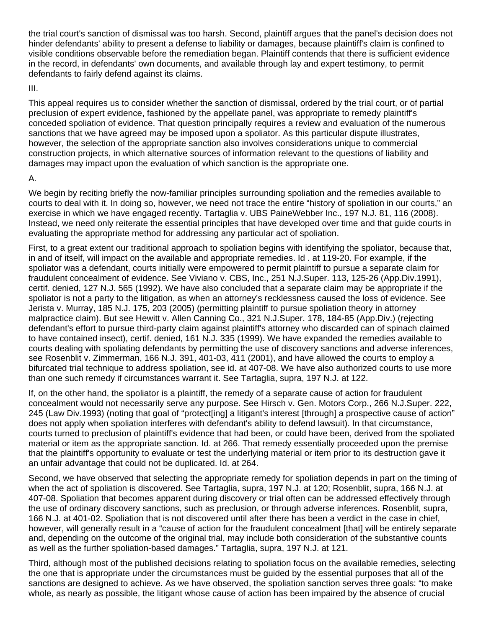the trial court's sanction of dismissal was too harsh. Second, plaintiff argues that the panel's decision does not hinder defendants' ability to present a defense to liability or damages, because plaintiff's claim is confined to visible conditions observable before the remediation began. Plaintiff contends that there is sufficient evidence in the record, in defendants' own documents, and available through lay and expert testimony, to permit defendants to fairly defend against its claims.

#### III.

This appeal requires us to consider whether the sanction of dismissal, ordered by the trial court, or of partial preclusion of expert evidence, fashioned by the appellate panel, was appropriate to remedy plaintiff's conceded spoliation of evidence. That question principally requires a review and evaluation of the numerous sanctions that we have agreed may be imposed upon a spoliator. As this particular dispute illustrates, however, the selection of the appropriate sanction also involves considerations unique to commercial construction projects, in which alternative sources of information relevant to the questions of liability and damages may impact upon the evaluation of which sanction is the appropriate one.

## A.

We begin by reciting briefly the now-familiar principles surrounding spoliation and the remedies available to courts to deal with it. In doing so, however, we need not trace the entire "history of spoliation in our courts," an exercise in which we have engaged recently. Tartaglia v. UBS PaineWebber Inc., 197 N.J. 81, 116 (2008). Instead, we need only reiterate the essential principles that have developed over time and that guide courts in evaluating the appropriate method for addressing any particular act of spoliation.

First, to a great extent our traditional approach to spoliation begins with identifying the spoliator, because that, in and of itself, will impact on the available and appropriate remedies. Id . at 119-20. For example, if the spoliator was a defendant, courts initially were empowered to permit plaintiff to pursue a separate claim for fraudulent concealment of evidence. See Viviano v. CBS, Inc., 251 N.J.Super. 113, 125-26 (App.Div.1991), certif. denied, 127 N.J. 565 (1992). We have also concluded that a separate claim may be appropriate if the spoliator is not a party to the litigation, as when an attorney's recklessness caused the loss of evidence. See Jerista v. Murray, 185 N.J. 175, 203 (2005) (permitting plaintiff to pursue spoliation theory in attorney malpractice claim). But see Hewitt v. Allen Canning Co., 321 N.J.Super. 178, 184-85 (App.Div.) (rejecting defendant's effort to pursue third-party claim against plaintiff's attorney who discarded can of spinach claimed to have contained insect), certif. denied, 161 N.J. 335 (1999). We have expanded the remedies available to courts dealing with spoliating defendants by permitting the use of discovery sanctions and adverse inferences, see Rosenblit v. Zimmerman, 166 N.J. 391, 401-03, 411 (2001), and have allowed the courts to employ a bifurcated trial technique to address spoliation, see id. at 407-08. We have also authorized courts to use more than one such remedy if circumstances warrant it. See Tartaglia, supra, 197 N.J. at 122.

If, on the other hand, the spoliator is a plaintiff, the remedy of a separate cause of action for fraudulent concealment would not necessarily serve any purpose. See Hirsch v. Gen. Motors Corp., 266 N.J.Super. 222, 245 (Law Div.1993) (noting that goal of "protect[ing] a litigant's interest [through] a prospective cause of action" does not apply when spoliation interferes with defendant's ability to defend lawsuit). In that circumstance, courts turned to preclusion of plaintiff's evidence that had been, or could have been, derived from the spoliated material or item as the appropriate sanction. Id. at 266. That remedy essentially proceeded upon the premise that the plaintiff's opportunity to evaluate or test the underlying material or item prior to its destruction gave it an unfair advantage that could not be duplicated. Id. at 264.

Second, we have observed that selecting the appropriate remedy for spoliation depends in part on the timing of when the act of spoliation is discovered. See Tartaglia, supra, 197 N.J. at 120; Rosenblit, supra, 166 N.J. at 407-08. Spoliation that becomes apparent during discovery or trial often can be addressed effectively through the use of ordinary discovery sanctions, such as preclusion, or through adverse inferences. Rosenblit, supra, 166 N.J. at 401-02. Spoliation that is not discovered until after there has been a verdict in the case in chief, however, will generally result in a "cause of action for the fraudulent concealment [that] will be entirely separate and, depending on the outcome of the original trial, may include both consideration of the substantive counts as well as the further spoliation-based damages." Tartaglia, supra, 197 N.J. at 121.

Third, although most of the published decisions relating to spoliation focus on the available remedies, selecting the one that is appropriate under the circumstances must be guided by the essential purposes that all of the sanctions are designed to achieve. As we have observed, the spoliation sanction serves three goals: "to make whole, as nearly as possible, the litigant whose cause of action has been impaired by the absence of crucial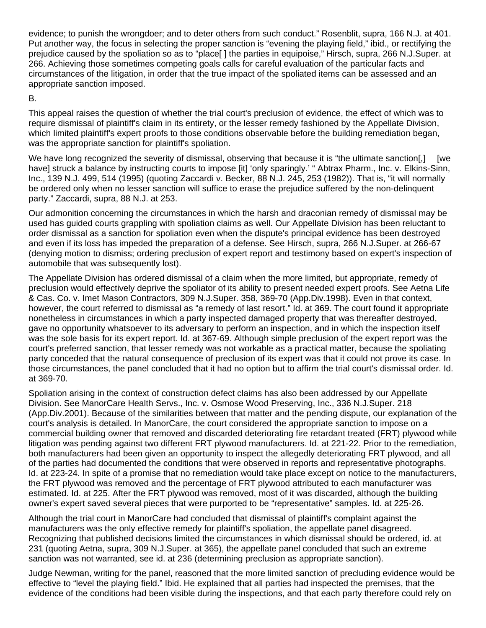evidence; to punish the wrongdoer; and to deter others from such conduct." Rosenblit, supra, 166 N.J. at 401. Put another way, the focus in selecting the proper sanction is "evening the playing field," ibid., or rectifying the prejudice caused by the spoliation so as to "place[ ] the parties in equipoise," Hirsch, supra, 266 N.J.Super. at 266. Achieving those sometimes competing goals calls for careful evaluation of the particular facts and circumstances of the litigation, in order that the true impact of the spoliated items can be assessed and an appropriate sanction imposed.

B.

This appeal raises the question of whether the trial court's preclusion of evidence, the effect of which was to require dismissal of plaintiff's claim in its entirety, or the lesser remedy fashioned by the Appellate Division, which limited plaintiff's expert proofs to those conditions observable before the building remediation began, was the appropriate sanction for plaintiff's spoliation.

We have long recognized the severity of dismissal, observing that because it is "the ultimate sanction[,] [we have] struck a balance by instructing courts to impose [it] 'only sparingly.' "Abtrax Pharm., Inc. v. Elkins-Sinn, Inc., 139 N.J. 499, 514 (1995) (quoting Zaccardi v. Becker, 88 N.J. 245, 253 (1982)). That is, "it will normally be ordered only when no lesser sanction will suffice to erase the prejudice suffered by the non-delinquent party." Zaccardi, supra, 88 N.J. at 253.

Our admonition concerning the circumstances in which the harsh and draconian remedy of dismissal may be used has guided courts grappling with spoliation claims as well. Our Appellate Division has been reluctant to order dismissal as a sanction for spoliation even when the dispute's principal evidence has been destroyed and even if its loss has impeded the preparation of a defense. See Hirsch, supra, 266 N.J.Super. at 266-67 (denying motion to dismiss; ordering preclusion of expert report and testimony based on expert's inspection of automobile that was subsequently lost).

The Appellate Division has ordered dismissal of a claim when the more limited, but appropriate, remedy of preclusion would effectively deprive the spoliator of its ability to present needed expert proofs. See Aetna Life & Cas. Co. v. Imet Mason Contractors, 309 N.J.Super. 358, 369-70 (App.Div.1998). Even in that context, however, the court referred to dismissal as "a remedy of last resort." Id. at 369. The court found it appropriate nonetheless in circumstances in which a party inspected damaged property that was thereafter destroyed, gave no opportunity whatsoever to its adversary to perform an inspection, and in which the inspection itself was the sole basis for its expert report. Id. at 367-69. Although simple preclusion of the expert report was the court's preferred sanction, that lesser remedy was not workable as a practical matter, because the spoliating party conceded that the natural consequence of preclusion of its expert was that it could not prove its case. In those circumstances, the panel concluded that it had no option but to affirm the trial court's dismissal order. Id. at 369-70.

Spoliation arising in the context of construction defect claims has also been addressed by our Appellate Division. See ManorCare Health Servs., Inc. v. Osmose Wood Preserving, Inc., 336 N.J.Super. 218 (App.Div.2001). Because of the similarities between that matter and the pending dispute, our explanation of the court's analysis is detailed. In ManorCare, the court considered the appropriate sanction to impose on a commercial building owner that removed and discarded deteriorating fire retardant treated (FRT) plywood while litigation was pending against two different FRT plywood manufacturers. Id. at 221-22. Prior to the remediation, both manufacturers had been given an opportunity to inspect the allegedly deteriorating FRT plywood, and all of the parties had documented the conditions that were observed in reports and representative photographs. Id. at 223-24. In spite of a promise that no remediation would take place except on notice to the manufacturers, the FRT plywood was removed and the percentage of FRT plywood attributed to each manufacturer was estimated. Id. at 225. After the FRT plywood was removed, most of it was discarded, although the building owner's expert saved several pieces that were purported to be "representative" samples. Id. at 225-26.

Although the trial court in ManorCare had concluded that dismissal of plaintiff's complaint against the manufacturers was the only effective remedy for plaintiff's spoliation, the appellate panel disagreed. Recognizing that published decisions limited the circumstances in which dismissal should be ordered, id. at 231 (quoting Aetna, supra, 309 N.J.Super. at 365), the appellate panel concluded that such an extreme sanction was not warranted, see id. at 236 (determining preclusion as appropriate sanction).

Judge Newman, writing for the panel, reasoned that the more limited sanction of precluding evidence would be effective to "level the playing field." Ibid. He explained that all parties had inspected the premises, that the evidence of the conditions had been visible during the inspections, and that each party therefore could rely on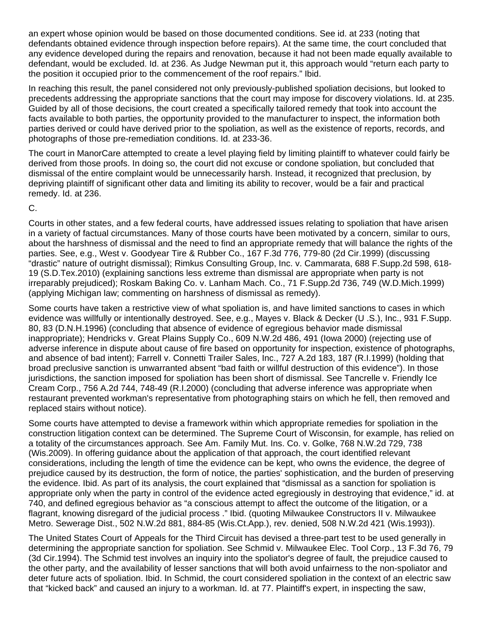an expert whose opinion would be based on those documented conditions. See id. at 233 (noting that defendants obtained evidence through inspection before repairs). At the same time, the court concluded that any evidence developed during the repairs and renovation, because it had not been made equally available to defendant, would be excluded. Id. at 236. As Judge Newman put it, this approach would "return each party to the position it occupied prior to the commencement of the roof repairs." Ibid.

In reaching this result, the panel considered not only previously-published spoliation decisions, but looked to precedents addressing the appropriate sanctions that the court may impose for discovery violations. Id. at 235. Guided by all of those decisions, the court created a specifically tailored remedy that took into account the facts available to both parties, the opportunity provided to the manufacturer to inspect, the information both parties derived or could have derived prior to the spoliation, as well as the existence of reports, records, and photographs of those pre-remediation conditions. Id. at 233-36.

The court in ManorCare attempted to create a level playing field by limiting plaintiff to whatever could fairly be derived from those proofs. In doing so, the court did not excuse or condone spoliation, but concluded that dismissal of the entire complaint would be unnecessarily harsh. Instead, it recognized that preclusion, by depriving plaintiff of significant other data and limiting its ability to recover, would be a fair and practical remedy. Id. at 236.

C.

Courts in other states, and a few federal courts, have addressed issues relating to spoliation that have arisen in a variety of factual circumstances. Many of those courts have been motivated by a concern, similar to ours, about the harshness of dismissal and the need to find an appropriate remedy that will balance the rights of the parties. See, e.g., West v. Goodyear Tire & Rubber Co., 167 F.3d 776, 779-80 (2d Cir.1999) (discussing "drastic" nature of outright dismissal); Rimkus Consulting Group, Inc. v. Cammarata, 688 F.Supp.2d 598, 618- 19 (S.D.Tex.2010) (explaining sanctions less extreme than dismissal are appropriate when party is not irreparably prejudiced); Roskam Baking Co. v. Lanham Mach. Co., 71 F.Supp.2d 736, 749 (W.D.Mich.1999) (applying Michigan law; commenting on harshness of dismissal as remedy).

Some courts have taken a restrictive view of what spoliation is, and have limited sanctions to cases in which evidence was willfully or intentionally destroyed. See, e.g., Mayes v. Black & Decker (U .S.), Inc., 931 F.Supp. 80, 83 (D.N.H.1996) (concluding that absence of evidence of egregious behavior made dismissal inappropriate); Hendricks v. Great Plains Supply Co., 609 N.W.2d 486, 491 (Iowa 2000) (rejecting use of adverse inference in dispute about cause of fire based on opportunity for inspection, existence of photographs, and absence of bad intent); Farrell v. Connetti Trailer Sales, Inc., 727 A.2d 183, 187 (R.I.1999) (holding that broad preclusive sanction is unwarranted absent "bad faith or willful destruction of this evidence"). In those jurisdictions, the sanction imposed for spoliation has been short of dismissal. See Tancrelle v. Friendly Ice Cream Corp., 756 A.2d 744, 748-49 (R.I.2000) (concluding that adverse inference was appropriate when restaurant prevented workman's representative from photographing stairs on which he fell, then removed and replaced stairs without notice).

Some courts have attempted to devise a framework within which appropriate remedies for spoliation in the construction litigation context can be determined. The Supreme Court of Wisconsin, for example, has relied on a totality of the circumstances approach. See Am. Family Mut. Ins. Co. v. Golke, 768 N.W.2d 729, 738 (Wis.2009). In offering guidance about the application of that approach, the court identified relevant considerations, including the length of time the evidence can be kept, who owns the evidence, the degree of prejudice caused by its destruction, the form of notice, the parties' sophistication, and the burden of preserving the evidence. Ibid. As part of its analysis, the court explained that "dismissal as a sanction for spoliation is appropriate only when the party in control of the evidence acted egregiously in destroying that evidence," id. at 740, and defined egregious behavior as "a conscious attempt to affect the outcome of the litigation, or a flagrant, knowing disregard of the judicial process ." Ibid. (quoting Milwaukee Constructors II v. Milwaukee Metro. Sewerage Dist., 502 N.W.2d 881, 884-85 (Wis.Ct.App.), rev. denied, 508 N.W.2d 421 (Wis.1993)).

The United States Court of Appeals for the Third Circuit has devised a three-part test to be used generally in determining the appropriate sanction for spoliation. See Schmid v. Milwaukee Elec. Tool Corp., 13 F.3d 76, 79 (3d Cir.1994). The Schmid test involves an inquiry into the spoliator's degree of fault, the prejudice caused to the other party, and the availability of lesser sanctions that will both avoid unfairness to the non-spoliator and deter future acts of spoliation. Ibid. In Schmid, the court considered spoliation in the context of an electric saw that "kicked back" and caused an injury to a workman. Id. at 77. Plaintiff's expert, in inspecting the saw,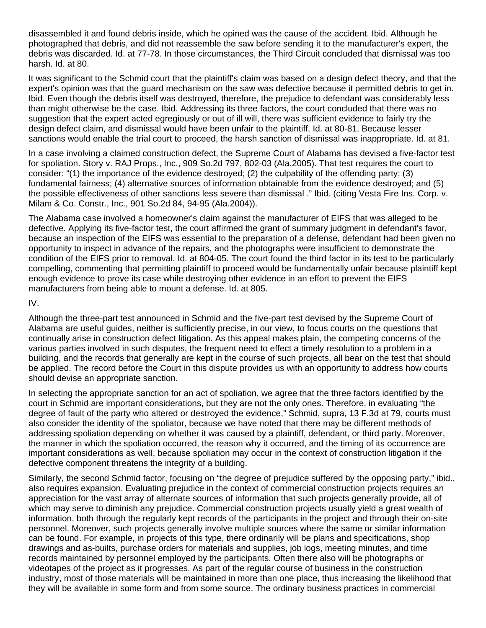disassembled it and found debris inside, which he opined was the cause of the accident. Ibid. Although he photographed that debris, and did not reassemble the saw before sending it to the manufacturer's expert, the debris was discarded. Id. at 77-78. In those circumstances, the Third Circuit concluded that dismissal was too harsh. Id. at 80.

It was significant to the Schmid court that the plaintiff's claim was based on a design defect theory, and that the expert's opinion was that the guard mechanism on the saw was defective because it permitted debris to get in. Ibid. Even though the debris itself was destroyed, therefore, the prejudice to defendant was considerably less than might otherwise be the case. Ibid. Addressing its three factors, the court concluded that there was no suggestion that the expert acted egregiously or out of ill will, there was sufficient evidence to fairly try the design defect claim, and dismissal would have been unfair to the plaintiff. Id. at 80-81. Because lesser sanctions would enable the trial court to proceed, the harsh sanction of dismissal was inappropriate. Id. at 81.

In a case involving a claimed construction defect, the Supreme Court of Alabama has devised a five-factor test for spoliation. Story v. RAJ Props., Inc., 909 So.2d 797, 802-03 (Ala.2005). That test requires the court to consider: "(1) the importance of the evidence destroyed; (2) the culpability of the offending party; (3) fundamental fairness; (4) alternative sources of information obtainable from the evidence destroyed; and (5) the possible effectiveness of other sanctions less severe than dismissal ." Ibid. (citing Vesta Fire Ins. Corp. v. Milam & Co. Constr., Inc., 901 So.2d 84, 94-95 (Ala.2004)).

The Alabama case involved a homeowner's claim against the manufacturer of EIFS that was alleged to be defective. Applying its five-factor test, the court affirmed the grant of summary judgment in defendant's favor, because an inspection of the EIFS was essential to the preparation of a defense, defendant had been given no opportunity to inspect in advance of the repairs, and the photographs were insufficient to demonstrate the condition of the EIFS prior to removal. Id. at 804-05. The court found the third factor in its test to be particularly compelling, commenting that permitting plaintiff to proceed would be fundamentally unfair because plaintiff kept enough evidence to prove its case while destroying other evidence in an effort to prevent the EIFS manufacturers from being able to mount a defense. Id. at 805.

IV.

Although the three-part test announced in Schmid and the five-part test devised by the Supreme Court of Alabama are useful guides, neither is sufficiently precise, in our view, to focus courts on the questions that continually arise in construction defect litigation. As this appeal makes plain, the competing concerns of the various parties involved in such disputes, the frequent need to effect a timely resolution to a problem in a building, and the records that generally are kept in the course of such projects, all bear on the test that should be applied. The record before the Court in this dispute provides us with an opportunity to address how courts should devise an appropriate sanction.

In selecting the appropriate sanction for an act of spoliation, we agree that the three factors identified by the court in Schmid are important considerations, but they are not the only ones. Therefore, in evaluating "the degree of fault of the party who altered or destroyed the evidence," Schmid, supra, 13 F.3d at 79, courts must also consider the identity of the spoliator, because we have noted that there may be different methods of addressing spoliation depending on whether it was caused by a plaintiff, defendant, or third party. Moreover, the manner in which the spoliation occurred, the reason why it occurred, and the timing of its occurrence are important considerations as well, because spoliation may occur in the context of construction litigation if the defective component threatens the integrity of a building.

Similarly, the second Schmid factor, focusing on "the degree of prejudice suffered by the opposing party," ibid., also requires expansion. Evaluating prejudice in the context of commercial construction projects requires an appreciation for the vast array of alternate sources of information that such projects generally provide, all of which may serve to diminish any prejudice. Commercial construction projects usually yield a great wealth of information, both through the regularly kept records of the participants in the project and through their on-site personnel. Moreover, such projects generally involve multiple sources where the same or similar information can be found. For example, in projects of this type, there ordinarily will be plans and specifications, shop drawings and as-builts, purchase orders for materials and supplies, job logs, meeting minutes, and time records maintained by personnel employed by the participants. Often there also will be photographs or videotapes of the project as it progresses. As part of the regular course of business in the construction industry, most of those materials will be maintained in more than one place, thus increasing the likelihood that they will be available in some form and from some source. The ordinary business practices in commercial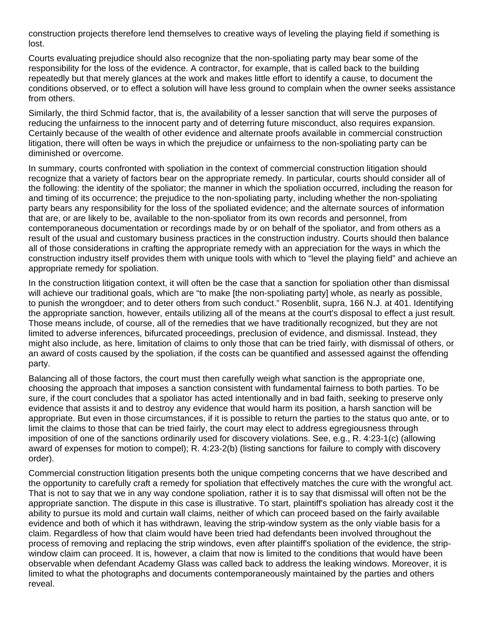construction projects therefore lend themselves to creative ways of leveling the playing field if something is lost.

Courts evaluating prejudice should also recognize that the non-spoliating party may bear some of the responsibility for the loss of the evidence. A contractor, for example, that is called back to the building repeatedly but that merely glances at the work and makes little effort to identify a cause, to document the conditions observed, or to effect a solution will have less ground to complain when the owner seeks assistance from others.

Similarly, the third Schmid factor, that is, the availability of a lesser sanction that will serve the purposes of reducing the unfairness to the innocent party and of deterring future misconduct, also requires expansion. Certainly because of the wealth of other evidence and alternate proofs available in commercial construction litigation, there will often be ways in which the prejudice or unfairness to the non-spoliating party can be diminished or overcome.

In summary, courts confronted with spoliation in the context of commercial construction litigation should recognize that a variety of factors bear on the appropriate remedy. In particular, courts should consider all of the following: the identity of the spoliator; the manner in which the spoliation occurred, including the reason for and timing of its occurrence; the prejudice to the non-spoliating party, including whether the non-spoliating party bears any responsibility for the loss of the spoliated evidence; and the alternate sources of information that are, or are likely to be, available to the non-spoliator from its own records and personnel, from contemporaneous documentation or recordings made by or on behalf of the spoliator, and from others as a result of the usual and customary business practices in the construction industry. Courts should then balance all of those considerations in crafting the appropriate remedy with an appreciation for the ways in which the construction industry itself provides them with unique tools with which to "level the playing field" and achieve an appropriate remedy for spoliation.

In the construction litigation context, it will often be the case that a sanction for spoliation other than dismissal will achieve our traditional goals, which are "to make [the non-spoliating party] whole, as nearly as possible, to punish the wrongdoer; and to deter others from such conduct." Rosenblit, supra, 166 N.J. at 401. Identifying the appropriate sanction, however, entails utilizing all of the means at the court's disposal to effect a just result. Those means include, of course, all of the remedies that we have traditionally recognized, but they are not limited to adverse inferences, bifurcated proceedings, preclusion of evidence, and dismissal. Instead, they might also include, as here, limitation of claims to only those that can be tried fairly, with dismissal of others, or an award of costs caused by the spoliation, if the costs can be quantified and assessed against the offending party.

Balancing all of those factors, the court must then carefully weigh what sanction is the appropriate one, choosing the approach that imposes a sanction consistent with fundamental fairness to both parties. To be sure, if the court concludes that a spoliator has acted intentionally and in bad faith, seeking to preserve only evidence that assists it and to destroy any evidence that would harm its position, a harsh sanction will be appropriate. But even in those circumstances, if it is possible to return the parties to the status quo ante, or to limit the claims to those that can be tried fairly, the court may elect to address egregiousness through imposition of one of the sanctions ordinarily used for discovery violations. See, e.g., R. 4:23-1(c) (allowing award of expenses for motion to compel); R. 4:23-2(b) (listing sanctions for failure to comply with discovery order).

Commercial construction litigation presents both the unique competing concerns that we have described and the opportunity to carefully craft a remedy for spoliation that effectively matches the cure with the wrongful act. That is not to say that we in any way condone spoliation, rather it is to say that dismissal will often not be the appropriate sanction. The dispute in this case is illustrative. To start, plaintiff's spoliation has already cost it the ability to pursue its mold and curtain wall claims, neither of which can proceed based on the fairly available evidence and both of which it has withdrawn, leaving the strip-window system as the only viable basis for a claim. Regardless of how that claim would have been tried had defendants been involved throughout the process of removing and replacing the strip windows, even after plaintiff's spoliation of the evidence, the stripwindow claim can proceed. It is, however, a claim that now is limited to the conditions that would have been observable when defendant Academy Glass was called back to address the leaking windows. Moreover, it is limited to what the photographs and documents contemporaneously maintained by the parties and others reveal.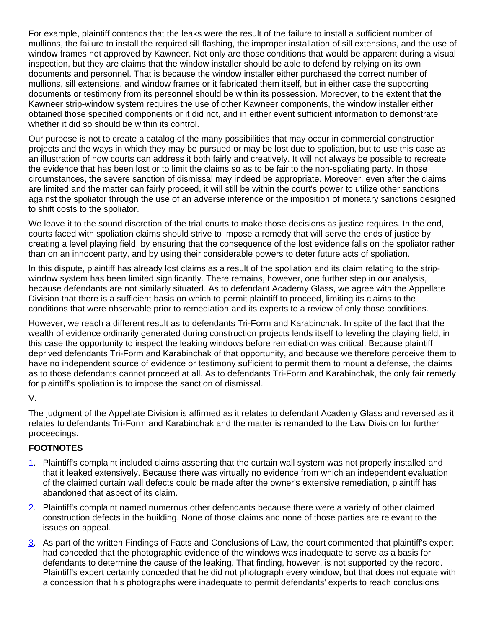For example, plaintiff contends that the leaks were the result of the failure to install a sufficient number of mullions, the failure to install the required sill flashing, the improper installation of sill extensions, and the use of window frames not approved by Kawneer. Not only are those conditions that would be apparent during a visual inspection, but they are claims that the window installer should be able to defend by relying on its own documents and personnel. That is because the window installer either purchased the correct number of mullions, sill extensions, and window frames or it fabricated them itself, but in either case the supporting documents or testimony from its personnel should be within its possession. Moreover, to the extent that the Kawneer strip-window system requires the use of other Kawneer components, the window installer either obtained those specified components or it did not, and in either event sufficient information to demonstrate whether it did so should be within its control.

Our purpose is not to create a catalog of the many possibilities that may occur in commercial construction projects and the ways in which they may be pursued or may be lost due to spoliation, but to use this case as an illustration of how courts can address it both fairly and creatively. It will not always be possible to recreate the evidence that has been lost or to limit the claims so as to be fair to the non-spoliating party. In those circumstances, the severe sanction of dismissal may indeed be appropriate. Moreover, even after the claims are limited and the matter can fairly proceed, it will still be within the court's power to utilize other sanctions against the spoliator through the use of an adverse inference or the imposition of monetary sanctions designed to shift costs to the spoliator.

We leave it to the sound discretion of the trial courts to make those decisions as justice requires. In the end, courts faced with spoliation claims should strive to impose a remedy that will serve the ends of justice by creating a level playing field, by ensuring that the consequence of the lost evidence falls on the spoliator rather than on an innocent party, and by using their considerable powers to deter future acts of spoliation.

In this dispute, plaintiff has already lost claims as a result of the spoliation and its claim relating to the stripwindow system has been limited significantly. There remains, however, one further step in our analysis, because defendants are not similarly situated. As to defendant Academy Glass, we agree with the Appellate Division that there is a sufficient basis on which to permit plaintiff to proceed, limiting its claims to the conditions that were observable prior to remediation and its experts to a review of only those conditions.

However, we reach a different result as to defendants Tri-Form and Karabinchak. In spite of the fact that the wealth of evidence ordinarily generated during construction projects lends itself to leveling the playing field, in this case the opportunity to inspect the leaking windows before remediation was critical. Because plaintiff deprived defendants Tri-Form and Karabinchak of that opportunity, and because we therefore perceive them to have no independent source of evidence or testimony sufficient to permit them to mount a defense, the claims as to those defendants cannot proceed at all. As to defendants Tri-Form and Karabinchak, the only fair remedy for plaintiff's spoliation is to impose the sanction of dismissal.

V.

The judgment of the Appellate Division is affirmed as it relates to defendant Academy Glass and reversed as it relates to defendants Tri-Form and Karabinchak and the matter is remanded to the Law Division for further proceedings.

# **FOOTNOTES**

- 1. Plaintiff's complaint included claims asserting that the curtain wall system was not properly installed and that it leaked extensively. Because there was virtually no evidence from which an independent evaluation of the claimed curtain wall defects could be made after the owner's extensive remediation, plaintiff has abandoned that aspect of its claim.
- 2. Plaintiff's complaint named numerous other defendants because there were a variety of other claimed construction defects in the building. None of those claims and none of those parties are relevant to the issues on appeal.
- 3. As part of the written Findings of Facts and Conclusions of Law, the court commented that plaintiff's expert had conceded that the photographic evidence of the windows was inadequate to serve as a basis for defendants to determine the cause of the leaking. That finding, however, is not supported by the record. Plaintiff's expert certainly conceded that he did not photograph every window, but that does not equate with a concession that his photographs were inadequate to permit defendants' experts to reach conclusions